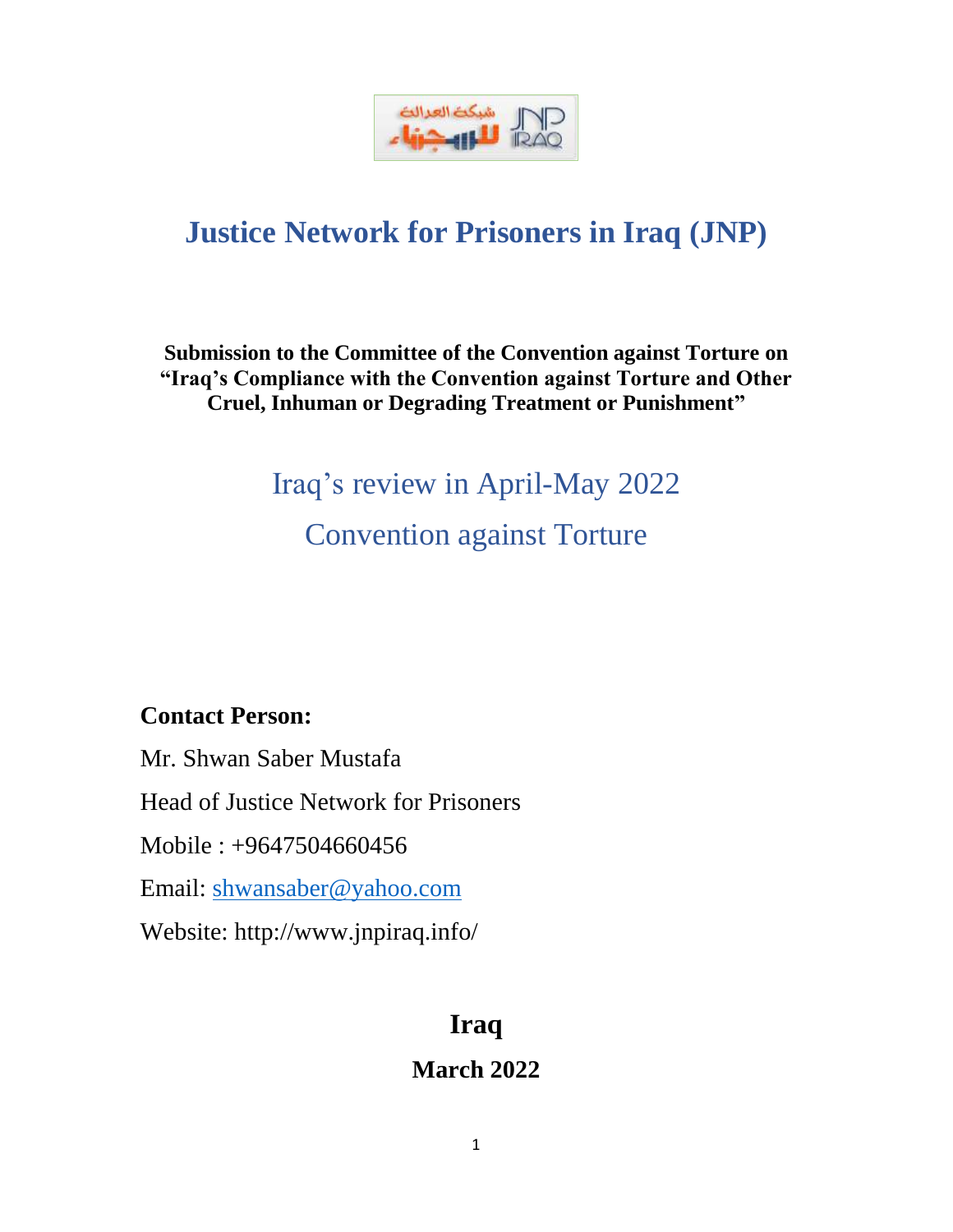

## **Justice Network for Prisoners in Iraq (JNP)**

## **Submission to the Committee of the Convention against Torture on "Iraq's Compliance with the Convention against Torture and Other Cruel, Inhuman or Degrading Treatment or Punishment"**

# Iraq's review in April-May 2022 Convention against Torture

## **Contact Person:**

Mr. Shwan Saber Mustafa Head of Justice Network for Prisoners Mobile : +9647504660456 Email: [shwansaber@yahoo.com](mailto:shwansaber@yahoo.com) Website: http://www.jnpiraq.info/

## **Iraq**

## **March 2022**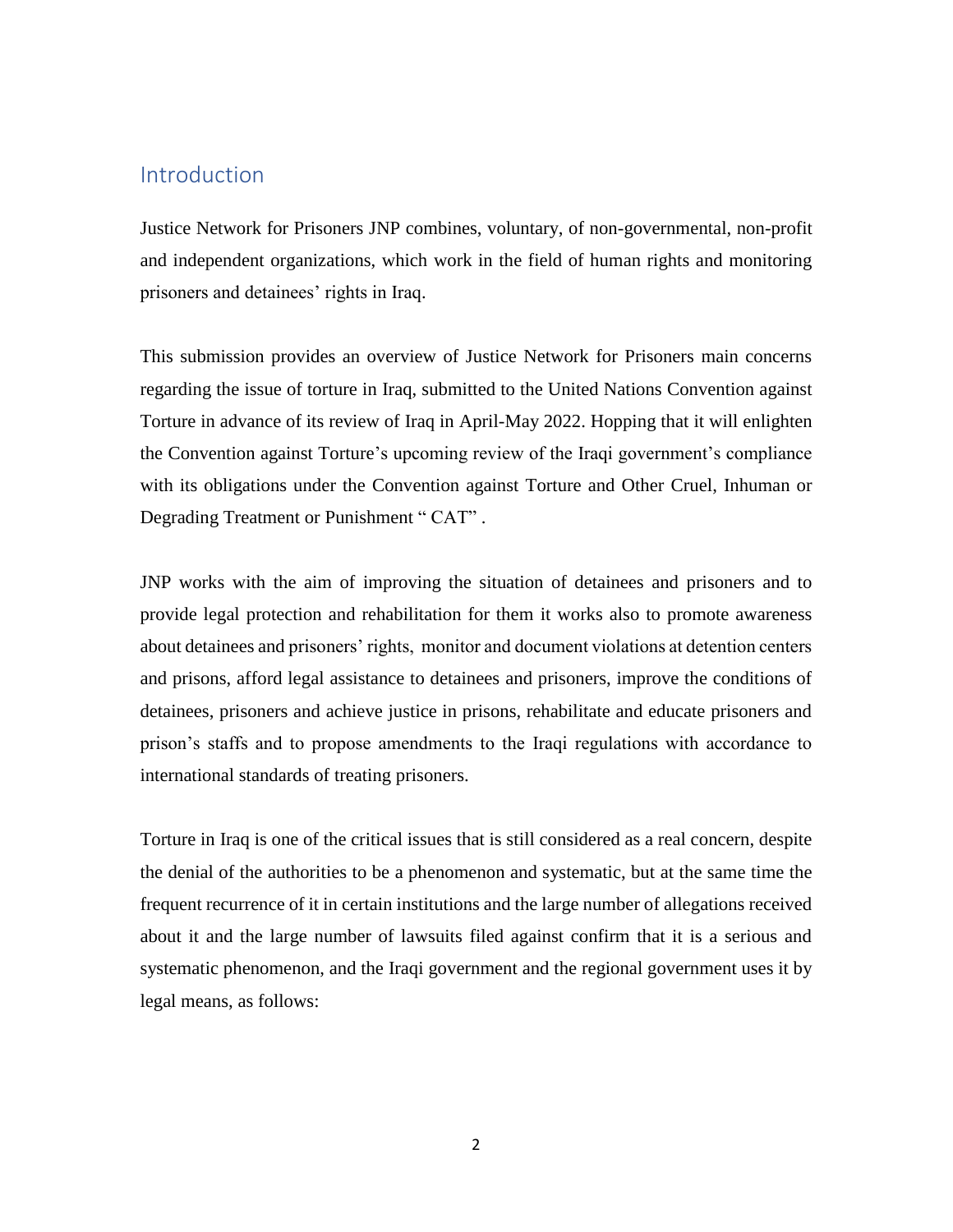#### Introduction

Justice Network for Prisoners JNP combines, voluntary, of non-governmental, non-profit and independent organizations, which work in the field of human rights and monitoring prisoners and detainees' rights in Iraq.

This submission provides an overview of Justice Network for Prisoners main concerns regarding the issue of torture in Iraq, submitted to the United Nations Convention against Torture in advance of its review of Iraq in April-May 2022. Hopping that it will enlighten the Convention against Torture's upcoming review of the Iraqi government's compliance with its obligations under the Convention against Torture and Other Cruel, Inhuman or Degrading Treatment or Punishment " CAT".

JNP works with the aim of improving the situation of detainees and prisoners and to provide legal protection and rehabilitation for them it works also to promote awareness about detainees and prisoners' rights, monitor and document violations at detention centers and prisons, afford legal assistance to detainees and prisoners, improve the conditions of detainees, prisoners and achieve justice in prisons, rehabilitate and educate prisoners and prison's staffs and to propose amendments to the Iraqi regulations with accordance to international standards of treating prisoners.

Torture in Iraq is one of the critical issues that is still considered as a real concern, despite the denial of the authorities to be a phenomenon and systematic, but at the same time the frequent recurrence of it in certain institutions and the large number of allegations received about it and the large number of lawsuits filed against confirm that it is a serious and systematic phenomenon, and the Iraqi government and the regional government uses it by legal means, as follows: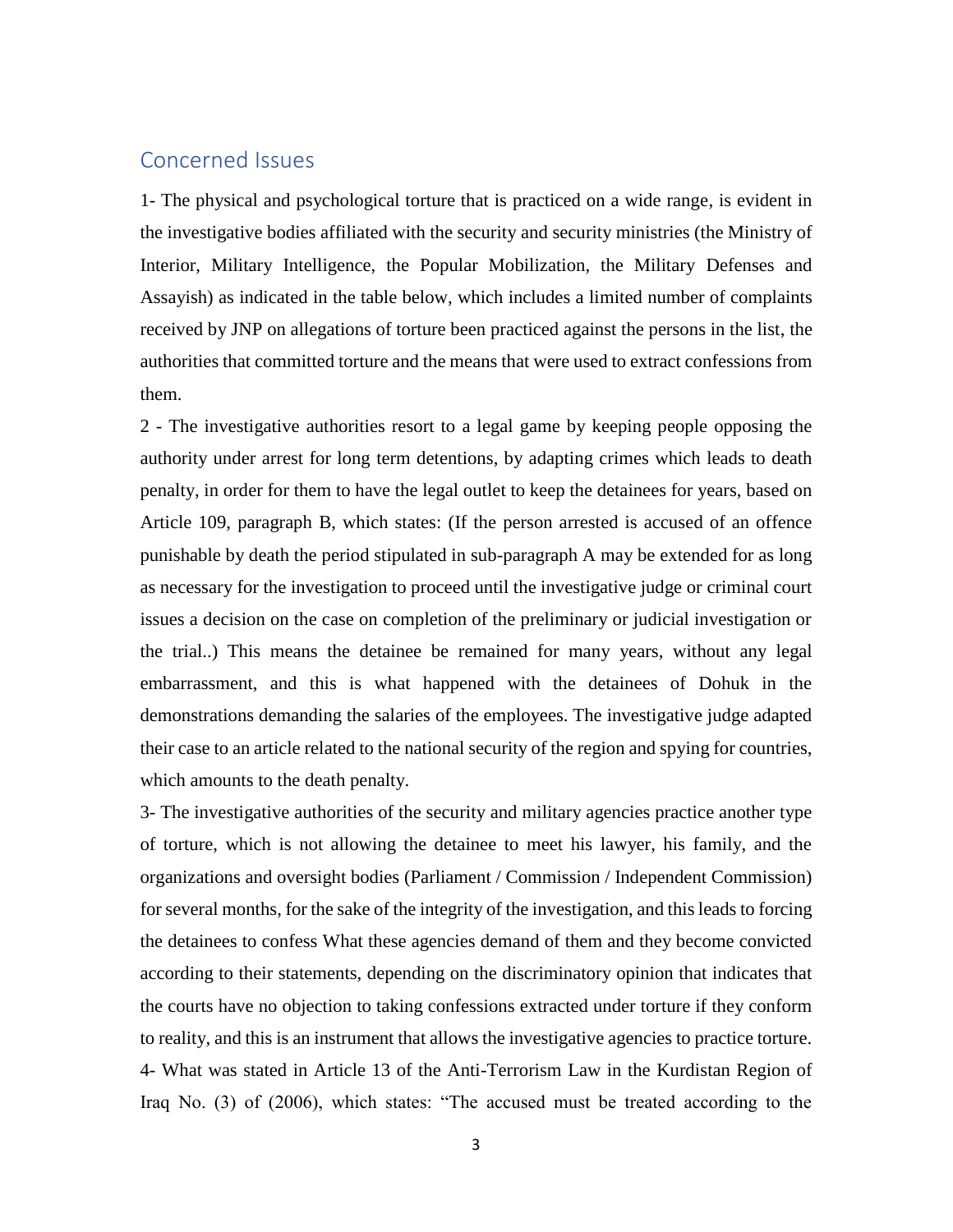### Concerned Issues

1- The physical and psychological torture that is practiced on a wide range, is evident in the investigative bodies affiliated with the security and security ministries (the Ministry of Interior, Military Intelligence, the Popular Mobilization, the Military Defenses and Assayish) as indicated in the table below, which includes a limited number of complaints received by JNP on allegations of torture been practiced against the persons in the list, the authorities that committed torture and the means that were used to extract confessions from them.

2 - The investigative authorities resort to a legal game by keeping people opposing the authority under arrest for long term detentions, by adapting crimes which leads to death penalty, in order for them to have the legal outlet to keep the detainees for years, based on Article 109, paragraph B, which states: (If the person arrested is accused of an offence punishable by death the period stipulated in sub-paragraph A may be extended for as long as necessary for the investigation to proceed until the investigative judge or criminal court issues a decision on the case on completion of the preliminary or judicial investigation or the trial..) This means the detainee be remained for many years, without any legal embarrassment, and this is what happened with the detainees of Dohuk in the demonstrations demanding the salaries of the employees. The investigative judge adapted their case to an article related to the national security of the region and spying for countries, which amounts to the death penalty.

3- The investigative authorities of the security and military agencies practice another type of torture, which is not allowing the detainee to meet his lawyer, his family, and the organizations and oversight bodies (Parliament / Commission / Independent Commission) for several months, for the sake of the integrity of the investigation, and this leads to forcing the detainees to confess What these agencies demand of them and they become convicted according to their statements, depending on the discriminatory opinion that indicates that the courts have no objection to taking confessions extracted under torture if they conform to reality, and this is an instrument that allows the investigative agencies to practice torture. 4- What was stated in Article 13 of the Anti-Terrorism Law in the Kurdistan Region of Iraq No. (3) of (2006), which states: "The accused must be treated according to the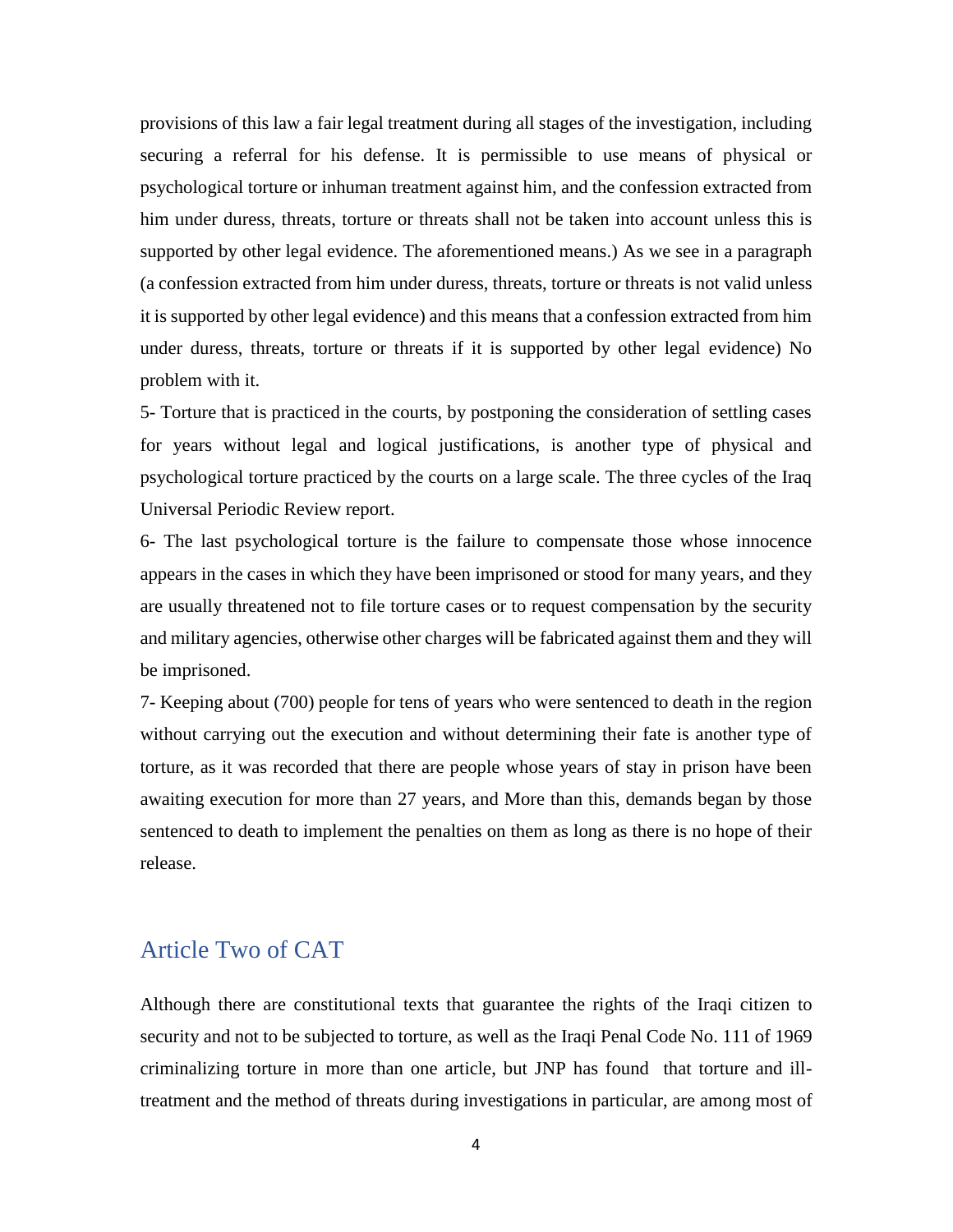provisions of this law a fair legal treatment during all stages of the investigation, including securing a referral for his defense. It is permissible to use means of physical or psychological torture or inhuman treatment against him, and the confession extracted from him under duress, threats, torture or threats shall not be taken into account unless this is supported by other legal evidence. The aforementioned means.) As we see in a paragraph (a confession extracted from him under duress, threats, torture or threats is not valid unless it is supported by other legal evidence) and this means that a confession extracted from him under duress, threats, torture or threats if it is supported by other legal evidence) No problem with it.

5- Torture that is practiced in the courts, by postponing the consideration of settling cases for years without legal and logical justifications, is another type of physical and psychological torture practiced by the courts on a large scale. The three cycles of the Iraq Universal Periodic Review report.

6- The last psychological torture is the failure to compensate those whose innocence appears in the cases in which they have been imprisoned or stood for many years, and they are usually threatened not to file torture cases or to request compensation by the security and military agencies, otherwise other charges will be fabricated against them and they will be imprisoned.

7- Keeping about (700) people for tens of years who were sentenced to death in the region without carrying out the execution and without determining their fate is another type of torture, as it was recorded that there are people whose years of stay in prison have been awaiting execution for more than 27 years, and More than this, demands began by those sentenced to death to implement the penalties on them as long as there is no hope of their release.

#### Article Two of CAT

Although there are constitutional texts that guarantee the rights of the Iraqi citizen to security and not to be subjected to torture, as well as the Iraqi Penal Code No. 111 of 1969 criminalizing torture in more than one article, but JNP has found that torture and illtreatment and the method of threats during investigations in particular, are among most of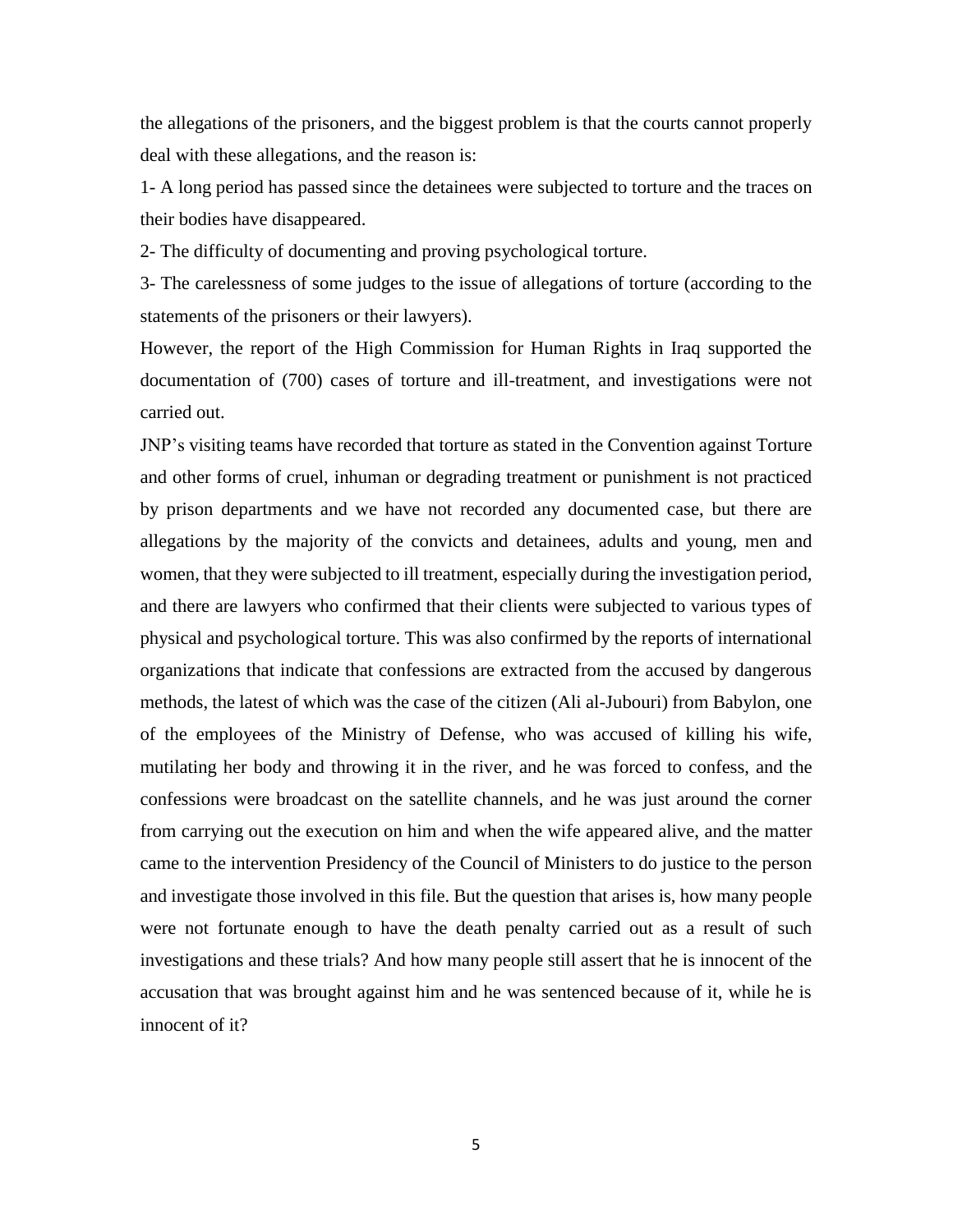the allegations of the prisoners, and the biggest problem is that the courts cannot properly deal with these allegations, and the reason is:

1- A long period has passed since the detainees were subjected to torture and the traces on their bodies have disappeared.

2- The difficulty of documenting and proving psychological torture.

3- The carelessness of some judges to the issue of allegations of torture (according to the statements of the prisoners or their lawyers).

However, the report of the High Commission for Human Rights in Iraq supported the documentation of (700) cases of torture and ill-treatment, and investigations were not carried out.

JNP's visiting teams have recorded that torture as stated in the Convention against Torture and other forms of cruel, inhuman or degrading treatment or punishment is not practiced by prison departments and we have not recorded any documented case, but there are allegations by the majority of the convicts and detainees, adults and young, men and women, that they were subjected to ill treatment, especially during the investigation period, and there are lawyers who confirmed that their clients were subjected to various types of physical and psychological torture. This was also confirmed by the reports of international organizations that indicate that confessions are extracted from the accused by dangerous methods, the latest of which was the case of the citizen (Ali al-Jubouri) from Babylon, one of the employees of the Ministry of Defense, who was accused of killing his wife, mutilating her body and throwing it in the river, and he was forced to confess, and the confessions were broadcast on the satellite channels, and he was just around the corner from carrying out the execution on him and when the wife appeared alive, and the matter came to the intervention Presidency of the Council of Ministers to do justice to the person and investigate those involved in this file. But the question that arises is, how many people were not fortunate enough to have the death penalty carried out as a result of such investigations and these trials? And how many people still assert that he is innocent of the accusation that was brought against him and he was sentenced because of it, while he is innocent of it?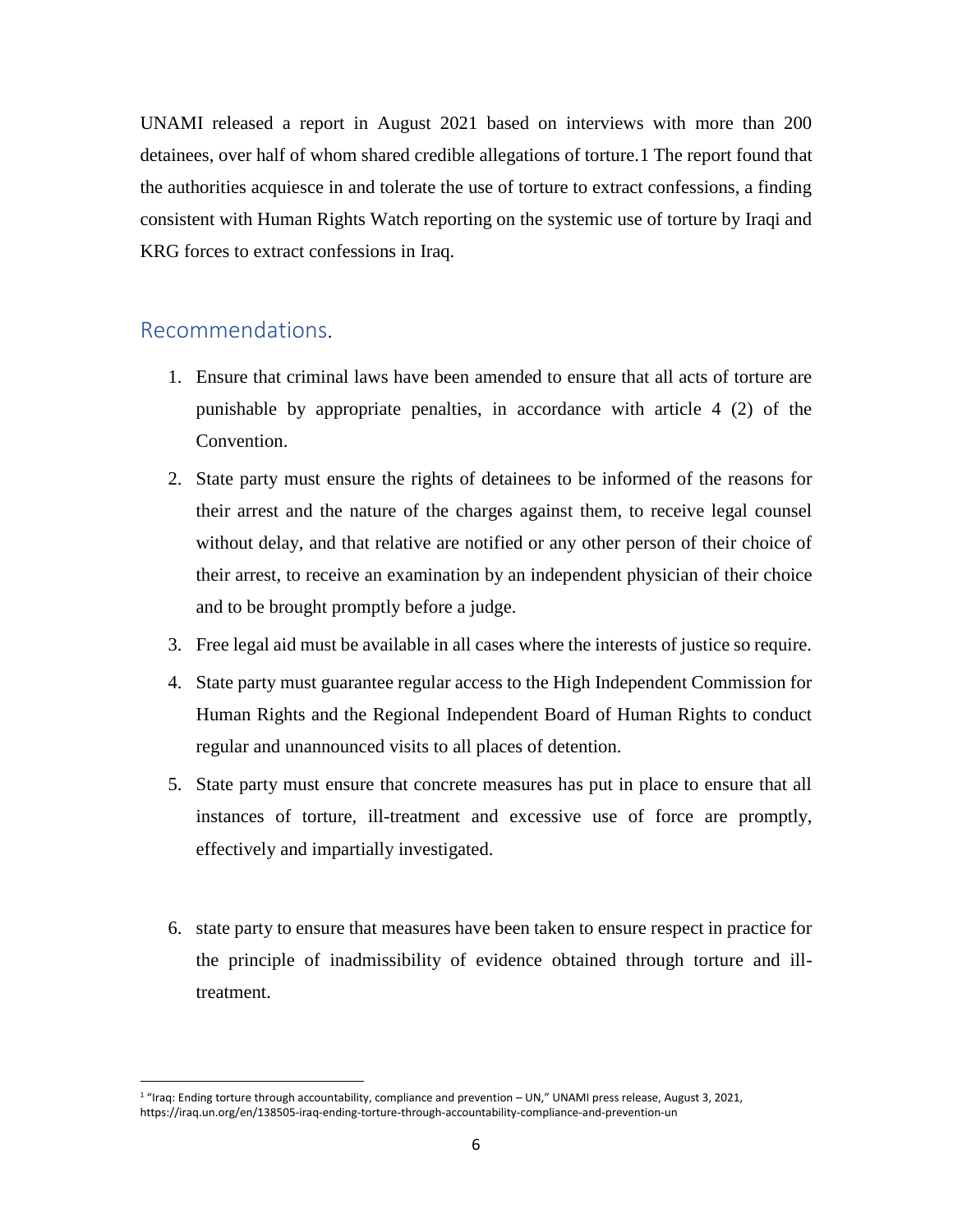UNAMI released a report in August 2021 based on interviews with more than 200 detainees, over half of whom shared credible allegations of torture.1 The report found that the authorities acquiesce in and tolerate the use of torture to extract confessions, a finding consistent with Human Rights Watch reporting on the systemic use of torture by Iraqi and KRG forces to extract confessions in Iraq.

#### Recommendations.

 $\overline{a}$ 

- 1. Ensure that criminal laws have been amended to ensure that all acts of torture are punishable by appropriate penalties, in accordance with article 4 (2) of the Convention.
- 2. State party must ensure the rights of detainees to be informed of the reasons for their arrest and the nature of the charges against them, to receive legal counsel without delay, and that relative are notified or any other person of their choice of their arrest, to receive an examination by an independent physician of their choice and to be brought promptly before a judge.
- 3. Free legal aid must be available in all cases where the interests of justice so require.
- 4. State party must guarantee regular access to the High Independent Commission for Human Rights and the Regional Independent Board of Human Rights to conduct regular and unannounced visits to all places of detention.
- 5. State party must ensure that concrete measures has put in place to ensure that all instances of torture, ill-treatment and excessive use of force are promptly, effectively and impartially investigated.
- 6. state party to ensure that measures have been taken to ensure respect in practice for the principle of inadmissibility of evidence obtained through torture and illtreatment.

<sup>&</sup>lt;sup>1</sup> "Iraq: Ending torture through accountability, compliance and prevention – UN," UNAMI press release, August 3, 2021, https://iraq.un.org/en/138505-iraq-ending-torture-through-accountability-compliance-and-prevention-un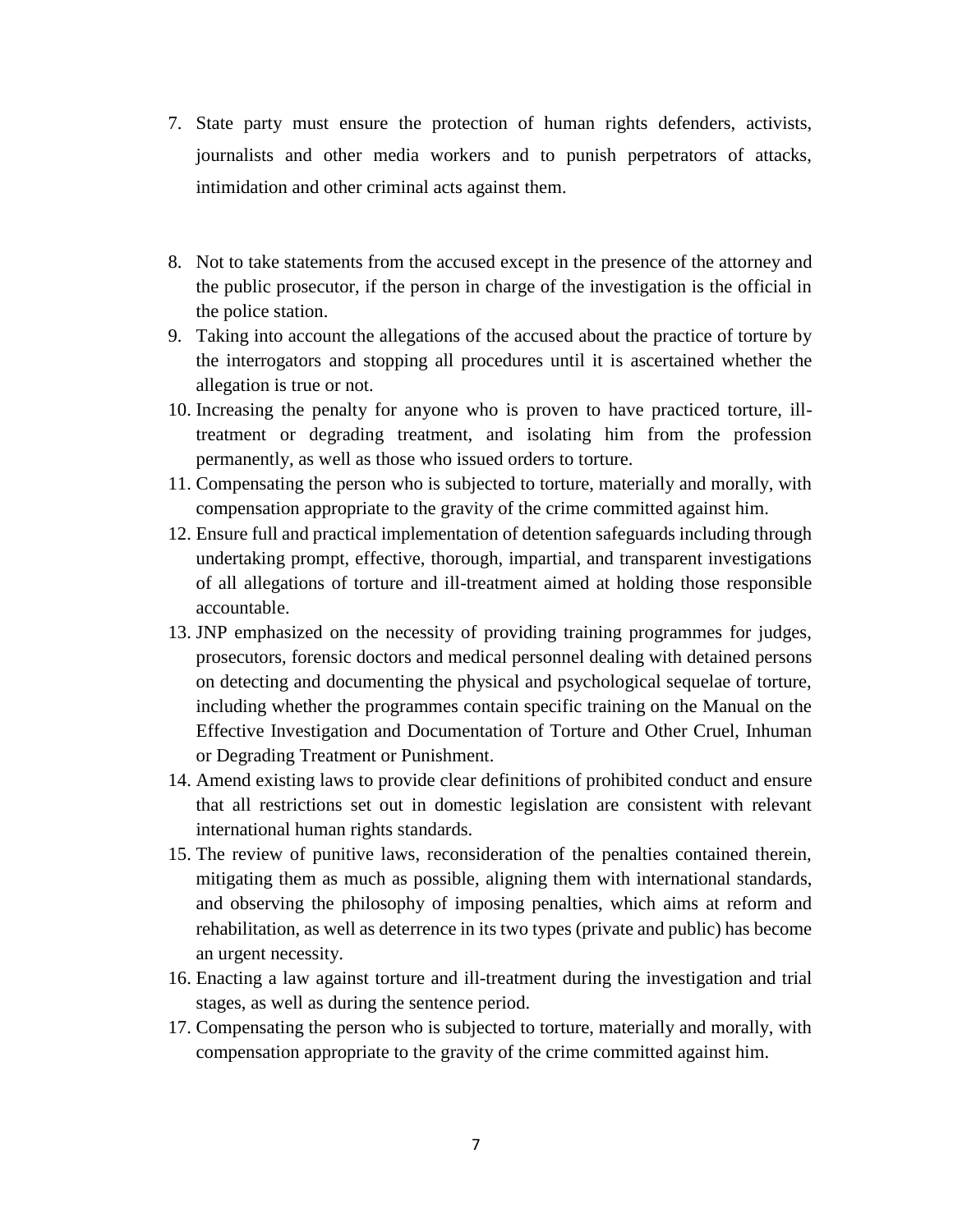- 7. State party must ensure the protection of human rights defenders, activists, journalists and other media workers and to punish perpetrators of attacks, intimidation and other criminal acts against them.
- 8. Not to take statements from the accused except in the presence of the attorney and the public prosecutor, if the person in charge of the investigation is the official in the police station.
- 9. Taking into account the allegations of the accused about the practice of torture by the interrogators and stopping all procedures until it is ascertained whether the allegation is true or not.
- 10. Increasing the penalty for anyone who is proven to have practiced torture, illtreatment or degrading treatment, and isolating him from the profession permanently, as well as those who issued orders to torture.
- 11. Compensating the person who is subjected to torture, materially and morally, with compensation appropriate to the gravity of the crime committed against him.
- 12. Ensure full and practical implementation of detention safeguards including through undertaking prompt, effective, thorough, impartial, and transparent investigations of all allegations of torture and ill-treatment aimed at holding those responsible accountable.
- 13. JNP emphasized on the necessity of providing training programmes for judges, prosecutors, forensic doctors and medical personnel dealing with detained persons on detecting and documenting the physical and psychological sequelae of torture, including whether the programmes contain specific training on the Manual on the Effective Investigation and Documentation of Torture and Other Cruel, Inhuman or Degrading Treatment or Punishment.
- 14. Amend existing laws to provide clear definitions of prohibited conduct and ensure that all restrictions set out in domestic legislation are consistent with relevant international human rights standards.
- 15. The review of punitive laws, reconsideration of the penalties contained therein, mitigating them as much as possible, aligning them with international standards, and observing the philosophy of imposing penalties, which aims at reform and rehabilitation, as well as deterrence in its two types (private and public) has become an urgent necessity.
- 16. Enacting a law against torture and ill-treatment during the investigation and trial stages, as well as during the sentence period.
- 17. Compensating the person who is subjected to torture, materially and morally, with compensation appropriate to the gravity of the crime committed against him.